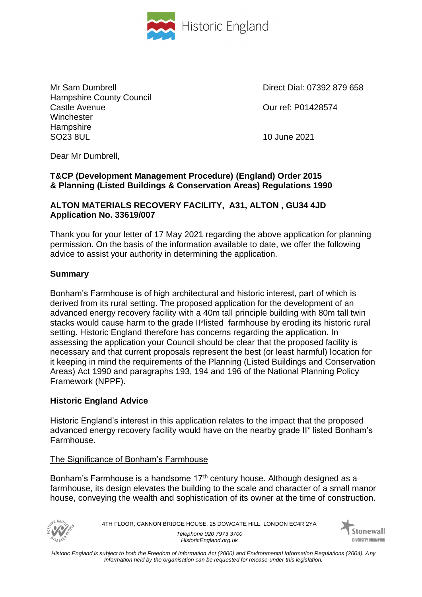

Mr Sam Dumbrell **Direct Dial: 07392 879 658** Hampshire County Council Castle Avenue Our ref: P01428574 **Winchester Hampshire** SO23 8UL 10 June 2021

Dear Mr Dumbrell,

# **T&CP (Development Management Procedure) (England) Order 2015 & Planning (Listed Buildings & Conservation Areas) Regulations 1990**

### **ALTON MATERIALS RECOVERY FACILITY, A31, ALTON , GU34 4JD Application No. 33619/007**

Thank you for your letter of 17 May 2021 regarding the above application for planning permission. On the basis of the information available to date, we offer the following advice to assist your authority in determining the application.

# **Summary**

Bonham's Farmhouse is of high architectural and historic interest, part of which is derived from its rural setting. The proposed application for the development of an advanced energy recovery facility with a 40m tall principle building with 80m tall twin stacks would cause harm to the grade II\*listed farmhouse by eroding its historic rural setting. Historic England therefore has concerns regarding the application. In assessing the application your Council should be clear that the proposed facility is necessary and that current proposals represent the best (or least harmful) location for it keeping in mind the requirements of the Planning (Listed Buildings and Conservation Areas) Act 1990 and paragraphs 193, 194 and 196 of the National Planning Policy Framework (NPPF).

# **Historic England Advice**

Historic England's interest in this application relates to the impact that the proposed advanced energy recovery facility would have on the nearby grade II\* listed Bonham's Farmhouse.

# The Significance of Bonham's Farmhouse

Bonham's Farmhouse is a handsome  $17<sup>th</sup>$  century house. Although designed as a farmhouse, its design elevates the building to the scale and character of a small manor house, conveying the wealth and sophistication of its owner at the time of construction.



4TH FLOOR, CANNON BRIDGE HOUSE, 25 DOWGATE HILL, LONDON EC4R 2YA *Telephone 020 7973 3700 HistoricEngland.org.uk*

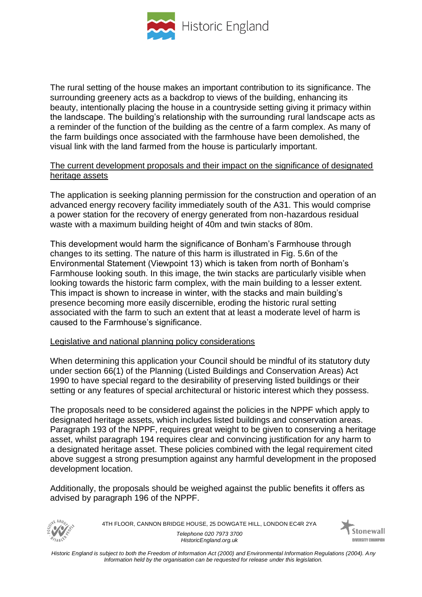

The rural setting of the house makes an important contribution to its significance. The surrounding greenery acts as a backdrop to views of the building, enhancing its beauty, intentionally placing the house in a countryside setting giving it primacy within the landscape. The building's relationship with the surrounding rural landscape acts as a reminder of the function of the building as the centre of a farm complex. As many of the farm buildings once associated with the farmhouse have been demolished, the visual link with the land farmed from the house is particularly important.

#### The current development proposals and their impact on the significance of designated heritage assets

The application is seeking planning permission for the construction and operation of an advanced energy recovery facility immediately south of the A31. This would comprise a power station for the recovery of energy generated from non-hazardous residual waste with a maximum building height of 40m and twin stacks of 80m.

This development would harm the significance of Bonham's Farmhouse through changes to its setting. The nature of this harm is illustrated in Fig. 5.6n of the Environmental Statement (Viewpoint 13) which is taken from north of Bonham's Farmhouse looking south. In this image, the twin stacks are particularly visible when looking towards the historic farm complex, with the main building to a lesser extent. This impact is shown to increase in winter, with the stacks and main building's presence becoming more easily discernible, eroding the historic rural setting associated with the farm to such an extent that at least a moderate level of harm is caused to the Farmhouse's significance.

#### Legislative and national planning policy considerations

When determining this application your Council should be mindful of its statutory duty under section 66(1) of the Planning (Listed Buildings and Conservation Areas) Act 1990 to have special regard to the desirability of preserving listed buildings or their setting or any features of special architectural or historic interest which they possess.

The proposals need to be considered against the policies in the NPPF which apply to designated heritage assets, which includes listed buildings and conservation areas. Paragraph 193 of the NPPF, requires great weight to be given to conserving a heritage asset, whilst paragraph 194 requires clear and convincing justification for any harm to a designated heritage asset. These policies combined with the legal requirement cited above suggest a strong presumption against any harmful development in the proposed development location.

Additionally, the proposals should be weighed against the public benefits it offers as advised by paragraph 196 of the NPPF.



4TH FLOOR, CANNON BRIDGE HOUSE, 25 DOWGATE HILL, LONDON EC4R 2YA *Telephone 020 7973 3700 HistoricEngland.org.uk*

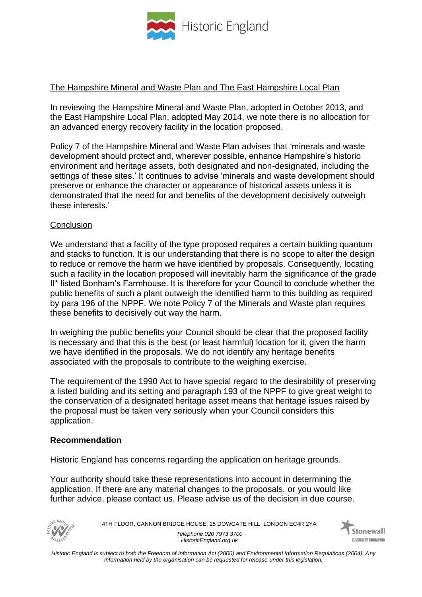

### The Hampshire Mineral and Waste Plan and The East Hampshire Local Plan

In reviewing the Hampshire Mineral and Waste Plan, adopted in October 2013, and the East Hampshire Local Plan, adopted May 2014, we note there is no allocation for an advanced energy recovery facility in the location proposed.

Policy 7 of the Hampshire Mineral and Waste Plan advises that 'minerals and waste development should protect and, wherever possible, enhance Hampshire's historic environment and heritage assets, both designated and non-designated, including the settings of these sites.' It continues to advise 'minerals and waste development should preserve or enhance the character or appearance of historical assets unless it is demonstrated that the need for and benefits of the development decisively outweigh these interests.'

#### **Conclusion**

We understand that a facility of the type proposed requires a certain building quantum and stacks to function. It is our understanding that there is no scope to alter the design to reduce or remove the harm we have identified by proposals. Consequently, locating such a facility in the location proposed will inevitably harm the significance of the grade II\* listed Bonham's Farmhouse. It is therefore for your Council to conclude whether the public benefits of such a plant outweigh the identified harm to this building as required by para 196 of the NPPF. We note Policy 7 of the Minerals and Waste plan requires these benefits to decisively out way the harm.

In weighing the public benefits your Council should be clear that the proposed facility is necessary and that this is the best (or least harmful) location for it, given the harm we have identified in the proposals. We do not identify any heritage benefits associated with the proposals to contribute to the weighing exercise.

The requirement of the 1990 Act to have special regard to the desirability of preserving a listed building and its setting and paragraph 193 of the NPPF to give great weight to the conservation of a designated heritage asset means that heritage issues raised by the proposal must be taken very seriously when your Council considers this application.

#### **Recommendation**

Historic England has concerns regarding the application on heritage grounds.

Your authority should take these representations into account in determining the application. If there are any material changes to the proposals, or you would like further advice, please contact us. Please advise us of the decision in due course.



4TH FLOOR, CANNON BRIDGE HOUSE, 25 DOWGATE HILL, LONDON EC4R 2YA *Telephone 020 7973 3700 HistoricEngland.org.uk*